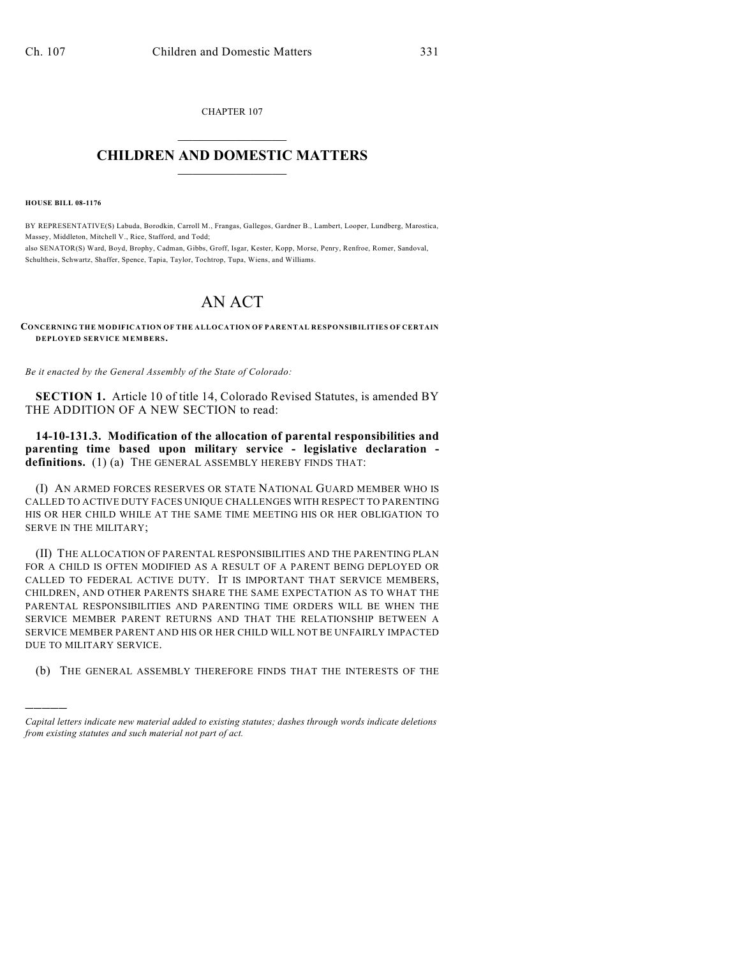CHAPTER 107  $\mathcal{L}_\text{max}$  . The set of the set of the set of the set of the set of the set of the set of the set of the set of the set of the set of the set of the set of the set of the set of the set of the set of the set of the set

## **CHILDREN AND DOMESTIC MATTERS**  $\_$

**HOUSE BILL 08-1176**

)))))

BY REPRESENTATIVE(S) Labuda, Borodkin, Carroll M., Frangas, Gallegos, Gardner B., Lambert, Looper, Lundberg, Marostica, Massey, Middleton, Mitchell V., Rice, Stafford, and Todd; also SENATOR(S) Ward, Boyd, Brophy, Cadman, Gibbs, Groff, Isgar, Kester, Kopp, Morse, Penry, Renfroe, Romer, Sandoval, Schultheis, Schwartz, Shaffer, Spence, Tapia, Taylor, Tochtrop, Tupa, Wiens, and Williams.

## AN ACT

**CONCERNING THE MODIFICATION OF THE ALLOCATION OF PARENTAL RESPONSIBILITIES OF CERTAIN DEPLOYED SERVICE MEMBERS.**

*Be it enacted by the General Assembly of the State of Colorado:*

**SECTION 1.** Article 10 of title 14, Colorado Revised Statutes, is amended BY THE ADDITION OF A NEW SECTION to read:

**14-10-131.3. Modification of the allocation of parental responsibilities and parenting time based upon military service - legislative declaration**  definitions. (1) (a) THE GENERAL ASSEMBLY HEREBY FINDS THAT:

(I) AN ARMED FORCES RESERVES OR STATE NATIONAL GUARD MEMBER WHO IS CALLED TO ACTIVE DUTY FACES UNIQUE CHALLENGES WITH RESPECT TO PARENTING HIS OR HER CHILD WHILE AT THE SAME TIME MEETING HIS OR HER OBLIGATION TO SERVE IN THE MILITARY;

(II) THE ALLOCATION OF PARENTAL RESPONSIBILITIES AND THE PARENTING PLAN FOR A CHILD IS OFTEN MODIFIED AS A RESULT OF A PARENT BEING DEPLOYED OR CALLED TO FEDERAL ACTIVE DUTY. IT IS IMPORTANT THAT SERVICE MEMBERS, CHILDREN, AND OTHER PARENTS SHARE THE SAME EXPECTATION AS TO WHAT THE PARENTAL RESPONSIBILITIES AND PARENTING TIME ORDERS WILL BE WHEN THE SERVICE MEMBER PARENT RETURNS AND THAT THE RELATIONSHIP BETWEEN A SERVICE MEMBER PARENT AND HIS OR HER CHILD WILL NOT BE UNFAIRLY IMPACTED DUE TO MILITARY SERVICE.

(b) THE GENERAL ASSEMBLY THEREFORE FINDS THAT THE INTERESTS OF THE

*Capital letters indicate new material added to existing statutes; dashes through words indicate deletions from existing statutes and such material not part of act.*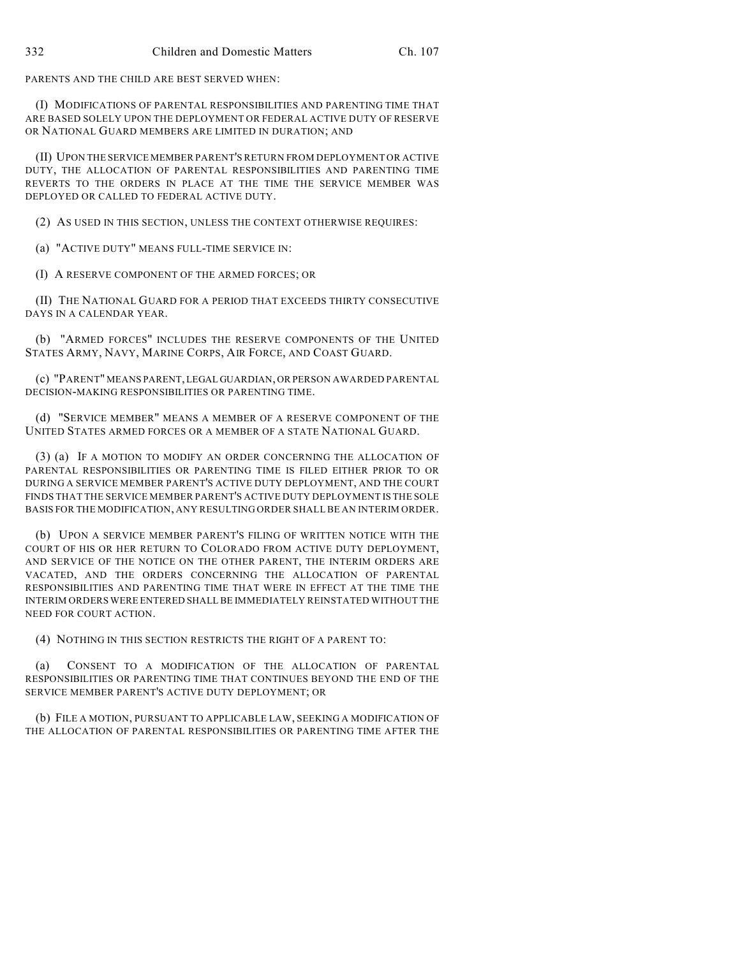PARENTS AND THE CHILD ARE BEST SERVED WHEN:

(I) MODIFICATIONS OF PARENTAL RESPONSIBILITIES AND PARENTING TIME THAT ARE BASED SOLELY UPON THE DEPLOYMENT OR FEDERAL ACTIVE DUTY OF RESERVE OR NATIONAL GUARD MEMBERS ARE LIMITED IN DURATION; AND

(II) UPON THE SERVICE MEMBER PARENT'S RETURN FROM DEPLOYMENT OR ACTIVE DUTY, THE ALLOCATION OF PARENTAL RESPONSIBILITIES AND PARENTING TIME REVERTS TO THE ORDERS IN PLACE AT THE TIME THE SERVICE MEMBER WAS DEPLOYED OR CALLED TO FEDERAL ACTIVE DUTY.

(2) AS USED IN THIS SECTION, UNLESS THE CONTEXT OTHERWISE REQUIRES:

(a) "ACTIVE DUTY" MEANS FULL-TIME SERVICE IN:

(I) A RESERVE COMPONENT OF THE ARMED FORCES; OR

(II) THE NATIONAL GUARD FOR A PERIOD THAT EXCEEDS THIRTY CONSECUTIVE DAYS IN A CALENDAR YEAR.

(b) "ARMED FORCES" INCLUDES THE RESERVE COMPONENTS OF THE UNITED STATES ARMY, NAVY, MARINE CORPS, AIR FORCE, AND COAST GUARD.

(c) "PARENT" MEANS PARENT, LEGAL GUARDIAN, OR PERSON AWARDED PARENTAL DECISION-MAKING RESPONSIBILITIES OR PARENTING TIME.

(d) "SERVICE MEMBER" MEANS A MEMBER OF A RESERVE COMPONENT OF THE UNITED STATES ARMED FORCES OR A MEMBER OF A STATE NATIONAL GUARD.

(3) (a) IF A MOTION TO MODIFY AN ORDER CONCERNING THE ALLOCATION OF PARENTAL RESPONSIBILITIES OR PARENTING TIME IS FILED EITHER PRIOR TO OR DURING A SERVICE MEMBER PARENT'S ACTIVE DUTY DEPLOYMENT, AND THE COURT FINDS THAT THE SERVICE MEMBER PARENT'S ACTIVE DUTY DEPLOYMENT IS THE SOLE BASIS FOR THE MODIFICATION, ANY RESULTING ORDER SHALL BE AN INTERIM ORDER.

(b) UPON A SERVICE MEMBER PARENT'S FILING OF WRITTEN NOTICE WITH THE COURT OF HIS OR HER RETURN TO COLORADO FROM ACTIVE DUTY DEPLOYMENT, AND SERVICE OF THE NOTICE ON THE OTHER PARENT, THE INTERIM ORDERS ARE VACATED, AND THE ORDERS CONCERNING THE ALLOCATION OF PARENTAL RESPONSIBILITIES AND PARENTING TIME THAT WERE IN EFFECT AT THE TIME THE INTERIM ORDERS WERE ENTERED SHALL BE IMMEDIATELY REINSTATED WITHOUT THE NEED FOR COURT ACTION.

(4) NOTHING IN THIS SECTION RESTRICTS THE RIGHT OF A PARENT TO:

(a) CONSENT TO A MODIFICATION OF THE ALLOCATION OF PARENTAL RESPONSIBILITIES OR PARENTING TIME THAT CONTINUES BEYOND THE END OF THE SERVICE MEMBER PARENT'S ACTIVE DUTY DEPLOYMENT; OR

(b) FILE A MOTION, PURSUANT TO APPLICABLE LAW, SEEKING A MODIFICATION OF THE ALLOCATION OF PARENTAL RESPONSIBILITIES OR PARENTING TIME AFTER THE